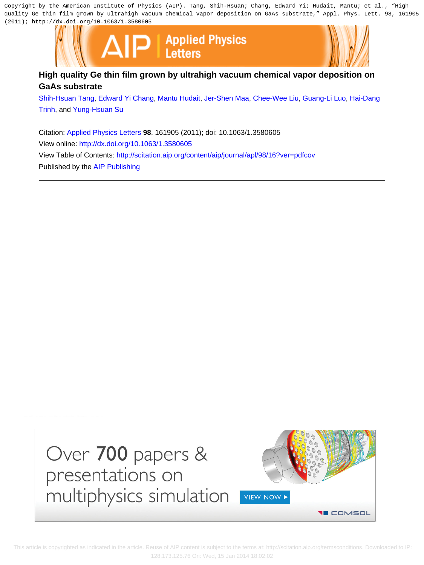Copyright by the American Institute of Physics (AIP). Tang, Shih-Hsuan; Chang, Edward Yi; Hudait, Mantu; et al., "High quality Ge thin film grown by ultrahigh vacuum chemical vapor deposition on GaAs substrate," Appl. Phys. Lett. 98, 161905 (2011); http://dx.doi.org/10.1063/1.3580605



## **High quality Ge thin film grown by ultrahigh vacuum chemical vapor deposition on GaAs substrate**

[Shih-Hsuan Tang](http://scitation.aip.org/search?value1=Shih-Hsuan+Tang&option1=author), [Edward Yi Chang,](http://scitation.aip.org/search?value1=Edward+Yi+Chang&option1=author) [Mantu Hudait,](http://scitation.aip.org/search?value1=Mantu+Hudait&option1=author) [Jer-Shen Maa,](http://scitation.aip.org/search?value1=Jer-Shen+Maa&option1=author) [Chee-Wee Liu](http://scitation.aip.org/search?value1=Chee-Wee+Liu&option1=author), [Guang-Li Luo,](http://scitation.aip.org/search?value1=Guang-Li+Luo&option1=author) [Hai-Dang](http://scitation.aip.org/search?value1=Hai-Dang+Trinh&option1=author) [Trinh](http://scitation.aip.org/search?value1=Hai-Dang+Trinh&option1=author), and [Yung-Hsuan Su](http://scitation.aip.org/search?value1=Yung-Hsuan+Su&option1=author)

Citation: [Applied Physics Letters](http://scitation.aip.org/content/aip/journal/apl?ver=pdfcov) **98**, 161905 (2011); doi: 10.1063/1.3580605 View online:<http://dx.doi.org/10.1063/1.3580605> View Table of Contents:<http://scitation.aip.org/content/aip/journal/apl/98/16?ver=pdfcov> Published by the [AIP Publishing](http://scitation.aip.org/content/aip?ver=pdfcov)



 This article is copyrighted as indicated in the article. Reuse of AIP content is subject to the terms at: http://scitation.aip.org/termsconditions. Downloaded to IP: 128.173.125.76 On: Wed, 15 Jan 2014 18:02:02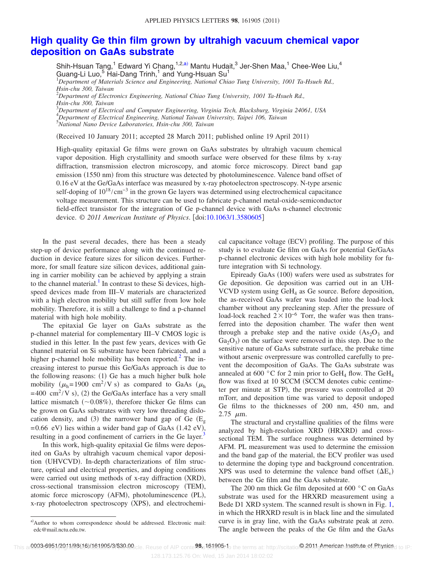## **[High quality Ge thin film grown by ultrahigh vacuum chemical vapor](http://dx.doi.org/10.1063/1.3580605) [deposition on GaAs substrate](http://dx.doi.org/10.1063/1.3580605)**

Shih-Hsuan Tang,  $^1$  Edward Yi Chang,  $^{1,2,a)}$  $^{1,2,a)}$  $^{1,2,a)}$  Mantu Hudait, $^3$  Jer-Shen Maa,  $^1$  Chee-Wee Liu,  $^4$ Guang-Li Luo,<sup>5</sup> Hai-Dang Trinh,<sup>1</sup> and Yung-Hsuan Su<sup>1</sup><br><sup>1</sup>Department of Materials Science and Engineering, National Chiao Tung University, 1001 Ta-Hsueh Rd.,

*Hsin-chu 300, Taiwan*

2 *Department of Electronics Engineering, National Chiao Tung University, 1001 Ta-Hsueh Rd., Hsin-chu 300, Taiwan*

3 *Department of Electrical and Computer Engineering, Virginia Tech, Blacksburg, Virginia 24061, USA* 4 *Department of Electrical Engineering, National Taiwan University, Taipei 106, Taiwan*

5 *National Nano Device Laboratories, Hsin-chu 300, Taiwan*

(Received 10 January 2011; accepted 28 March 2011; published online 19 April 2011)

High-quality epitaxial Ge films were grown on GaAs substrates by ultrahigh vacuum chemical vapor deposition. High crystallinity and smooth surface were observed for these films by x-ray diffraction, transmission electron microscopy, and atomic force microscopy. Direct band gap emission (1550 nm) from this structure was detected by photoluminescence. Valence band offset of 0.16 eV at the Ge/GaAs interface was measured by x-ray photoelectron spectroscopy. N-type arsenic self-doping of  $10^{18}/\text{cm}^{-3}$  in the grown Ge layers was determined using electrochemical capacitance voltage measurement. This structure can be used to fabricate p-channel metal-oxide-semiconductor field-effect transistor for the integration of Ge p-channel device with GaAs n-channel electronic device. © 2011 American Institute of Physics. [doi[:10.1063/1.3580605](http://dx.doi.org/10.1063/1.3580605)]

In the past several decades, there has been a steady step-up of device performance along with the continued reduction in device feature sizes for silicon devices. Furthermore, for small feature size silicon devices, additional gaining in carrier mobility can be achieved by applying a strain to the channel material. $<sup>1</sup>$  In contrast to these Si devices, high-</sup> speed devices made from III–V materials are characterized with a high electron mobility but still suffer from low hole mobility. Therefore, it is still a challenge to find a p-channel material with high hole mobility.

The epitaxial Ge layer on GaAs substrate as the p-channel material for complementary III–V CMOS logic is studied in this letter. In the past few years, devices with Ge channel material on Si substrate have been fabricated, and a higher p-channel hole mobility has been reported. $^{2}$  The increasing interest to pursue this Ge/GaAs approach is due to the following reasons: (1) Ge has a much higher bulk hole mobility ( $\mu_h$ =1900 cm<sup>2</sup>/V s) as compared to GaAs ( $\mu_h$  $= 400 \text{ cm}^2$ /V s), (2) the Ge/GaAs interface has a very small lattice mismatch  $(\sim 0.08\%)$ , therefore thicker Ge films can be grown on GaAs substrates with very low threading dislocation density, and (3) the narrower band gap of Ge  $(E_{g})$  $= 0.66$  eV) lies within a wider band gap of GaAs  $(1.42 \text{ eV})$ , resulting in a good confinement of carriers in the Ge layer.<sup>3</sup>

In this work, high-quality epitaxial Ge films were deposited on GaAs by ultrahigh vacuum chemical vapor deposition (UHVCVD). In-depth characterizations of film structure, optical and electrical properties, and doping conditions were carried out using methods of x-ray diffraction (XRD), cross-sectional transmission electron microscopy (TEM), atomic force microscopy (AFM), photoluminescence (PL), x-ray photoelectron spectroscopy (XPS), and electrochemi-

cal capacitance voltage (ECV) profiling. The purpose of this study is to evaluate Ge film on GaAs for potential Ge/GaAs p-channel electronic devices with high hole mobility for future integration with Si technology.

Epiready GaAs (100) wafers were used as substrates for Ge deposition. Ge deposition was carried out in an UH-VCVD system using  $GeH_4$  as Ge source. Before deposition, the as-received GaAs wafer was loaded into the load-lock chamber without any precleaning step. After the pressure of load-lock reached  $2 \times 10^{-6}$  Torr, the wafer was then transferred into the deposition chamber. The wafer then went through a prebake step and the native oxide  $(As<sub>2</sub>O<sub>3</sub>)$  and  $Ga<sub>2</sub>O<sub>3</sub>$  on the surface were removed in this step. Due to the sensitive nature of GaAs substrate surface, the prebake time without arsenic overpressure was controlled carefully to prevent the decomposition of GaAs. The GaAs substrate was annealed at 600 °C for 2 min prior to GeH<sub>4</sub> flow. The GeH<sub>4</sub> flow was fixed at 10 SCCM (SCCM denotes cubic centimeter per minute at STP, the pressure was controlled at 20 mTorr, and deposition time was varied to deposit undoped Ge films to the thicknesses of 200 nm, 450 nm, and  $2.75$   $\mu$ m.

The structural and crystalline qualities of the films were analyzed by high-resolution XRD (HRXRD) and crosssectional TEM. The surface roughness was determined by AFM. PL measurement was used to determine the emission and the band gap of the material, the ECV profiler was used to determine the doping type and background concentration. XPS was used to determine the valence band offset  $(\Delta E_v)$ between the Ge film and the GaAs substrate.

The 200 nm thick Ge film deposited at 600 °C on GaAs substrate was used for the HRXRD measurement using a Bede D1 XRD system. The scanned result is shown in Fig. [1,](#page-2-0) in which the HRXRD result is in black line and the simulated curve is in gray line, with the GaAs substrate peak at zero. The angle between the peaks of the Ge film and the GaAs

<span id="page-1-0"></span>a)Author to whom correspondence should be addressed. Electronic mail: edc@mail.nctu.edu.tw.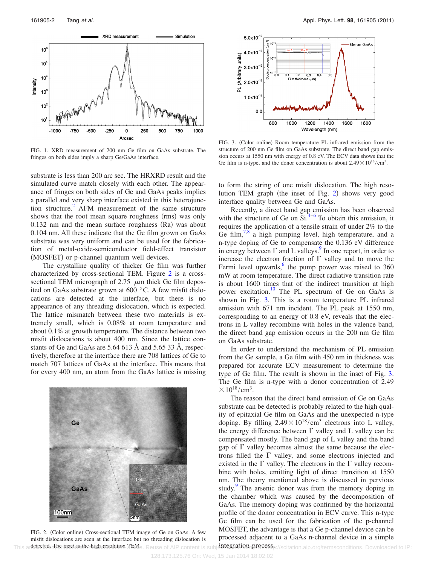<span id="page-2-0"></span>

FIG. 1. XRD measurement of 200 nm Ge film on GaAs substrate. The fringes on both sides imply a sharp Ge/GaAs interface.

substrate is less than 200 arc sec. The HRXRD result and the simulated curve match closely with each other. The appearance of fringes on both sides of Ge and GaAs peaks implies a parallel and very sharp interface existed in this heterojunction structure.<sup>2</sup> AFM measurement of the same structure shows that the root mean square roughness (rms) was only  $0.132$  nm and the mean surface roughness  $(Ra)$  was about 0.104 nm. All these indicate that the Ge film grown on GaAs substrate was very uniform and can be used for the fabrication of metal-oxide-semiconductor field-effect transistor (MOSFET) or p-channel quantum well devices.

The crystalline quality of thicker Ge film was further characterized by cross-sectional TEM. Figure [2](#page-2-1) is a crosssectional TEM micrograph of 2.75  $\,\mu$ m thick Ge film deposited on GaAs substrate grown at 600 °C. A few misfit dislocations are detected at the interface, but there is no appearance of any threading dislocation, which is expected. The lattice mismatch between these two materials is extremely small, which is 0.08% at room temperature and about 0.1% at growth temperature. The distance between two misfit dislocations is about 400 nm. Since the lattice constants of Ge and GaAs are 5.64 613 Å and 5.65 33 Å, respectively, therefore at the interface there are 708 lattices of Ge to match 707 lattices of GaAs at the interface. This means that for every 400 nm, an atom from the GaAs lattice is missing

<span id="page-2-1"></span>

This andetected The rinset is the high resolution TRMe. Reuse of AIP content is subjetite gration processp://scitation.aip.org/termsconditions. Downloaded to IP: FIG. 2. (Color online) Cross-sectional TEM image of Ge on GaAs. A few misfit dislocations are seen at the interface but no threading dislocation is

<span id="page-2-2"></span>

FIG. 3. (Color online) Room temperature PL infrared emission from the structure of 200 nm Ge film on GaAs substrate. The direct band gap emission occurs at 1550 nm with energy of 0.8 eV. The ECV data shows that the Ge film is n-type, and the donor concentration is about  $2.49 \times 10^{18} / \text{cm}^3$ .

to form the string of one misfit dislocation. The high reso-lution TEM graph (the inset of Fig. [2](#page-2-1)) shows very good interface quality between Ge and GaAs.

Recently, a direct band gap emission has been observed with the structure of Ge on  $Si^{4-6}$  $Si^{4-6}$  $Si^{4-6}$  To obtain this emission, it requires the application of a tensile strain of under 2% to the Ge film,  $\frac{7}{8}$  a high pumping level, high temperature, and a n-type doping of Ge to compensate the 0.136 eV difference in energy between  $\Gamma$  and L valleys.<sup>9</sup> In one report, in order to increase the electron fraction of  $\Gamma$  valley and to move the Fermi level upwards, $6 \times 10^{-10}$  pump power was raised to 360 mW at room temperature. The direct radiative transition rate is about 1600 times that of the indirect transition at high power excitation.<sup>10</sup> The PL spectrum of Ge on GaAs is shown in Fig. [3.](#page-2-2) This is a room temperature PL infrared emission with 671 nm incident. The PL peak at 1550 nm, corresponding to an energy of 0.8 eV, reveals that the electrons in L valley recombine with holes in the valence band, the direct band gap emission occurs in the 200 nm Ge film on GaAs substrate.

In order to understand the mechanism of PL emission from the Ge sample, a Ge film with 450 nm in thickness was prepared for accurate ECV measurement to determine the type of Ge film. The result is shown in the inset of Fig. [3.](#page-2-2) The Ge film is n-type with a donor concentration of 2.49  $\times 10^{18} / \text{cm}^3$ .

The reason that the direct band emission of Ge on GaAs substrate can be detected is probably related to the high quality of epitaxial Ge film on GaAs and the unexpected n-type doping. By filling  $2.49 \times 10^{18} / \text{cm}^3$  electrons into L valley, the energy difference between  $\Gamma$  valley and L valley can be compensated mostly. The band gap of L valley and the band gap of  $\Gamma$  valley becomes almost the same because the electrons filled the  $\Gamma$  valley, and some electrons injected and existed in the  $\Gamma$  valley. The electrons in the  $\Gamma$  valley recombine with holes, emitting light of direct transition at 1550 nm. The theory mentioned above is discussed in pervious study.<sup>9</sup> The arsenic donor was from the memory doping in the chamber which was caused by the decomposition of GaAs. The memory doping was confirmed by the horizontal profile of the donor concentration in ECV curve. This n-type Ge film can be used for the fabrication of the p-channel MOSFET, the advantage is that a Ge p-channel device can be processed adjacent to a GaAs n-channel device in a simple